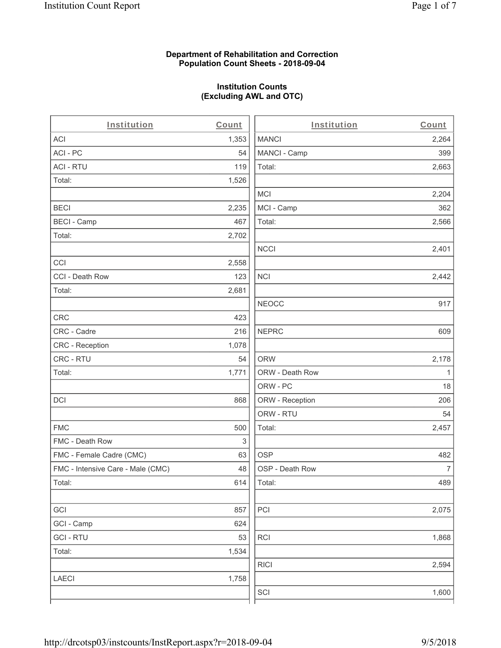### **Department of Rehabilitation and Correction Population Count Sheets - 2018-09-04**

# **Institution Counts (Excluding AWL and OTC)**

| Institution                       | Count | Institution     | Count            |
|-----------------------------------|-------|-----------------|------------------|
| <b>ACI</b>                        | 1,353 | <b>MANCI</b>    | 2,264            |
| ACI - PC                          | 54    | MANCI - Camp    | 399              |
| <b>ACI - RTU</b>                  | 119   | Total:          | 2,663            |
| Total:                            | 1,526 |                 |                  |
|                                   |       | <b>MCI</b>      | 2,204            |
| <b>BECI</b>                       | 2,235 | MCI - Camp      | 362              |
| <b>BECI - Camp</b>                | 467   | Total:          | 2,566            |
| Total:                            | 2,702 |                 |                  |
|                                   |       | <b>NCCI</b>     | 2,401            |
| CCI                               | 2,558 |                 |                  |
| CCI - Death Row                   | 123   | <b>NCI</b>      | 2,442            |
| Total:                            | 2,681 |                 |                  |
|                                   |       | <b>NEOCC</b>    | 917              |
| <b>CRC</b>                        | 423   |                 |                  |
| CRC - Cadre                       | 216   | <b>NEPRC</b>    | 609              |
| CRC - Reception                   | 1,078 |                 |                  |
| CRC - RTU                         | 54    | <b>ORW</b>      | 2,178            |
| Total:                            | 1,771 | ORW - Death Row | 1                |
|                                   |       | ORW - PC        | 18               |
| <b>DCI</b>                        | 868   | ORW - Reception | 206              |
|                                   |       | ORW - RTU       | 54               |
| <b>FMC</b>                        | 500   | Total:          | 2,457            |
| FMC - Death Row                   | 3     |                 |                  |
| FMC - Female Cadre (CMC)          | 63    | <b>OSP</b>      | 482              |
| FMC - Intensive Care - Male (CMC) | 48    | OSP - Death Row | $\boldsymbol{7}$ |
| Total:                            | 614   | Total:          | 489              |
|                                   |       |                 |                  |
| GCI                               | 857   | PCI             | 2,075            |
| GCI - Camp                        | 624   |                 |                  |
| <b>GCI-RTU</b>                    | 53    | RCI             | 1,868            |
| Total:                            | 1,534 |                 |                  |
|                                   |       | <b>RICI</b>     | 2,594            |
| <b>LAECI</b>                      | 1,758 |                 |                  |
|                                   |       | SCI             | 1,600            |
|                                   |       |                 |                  |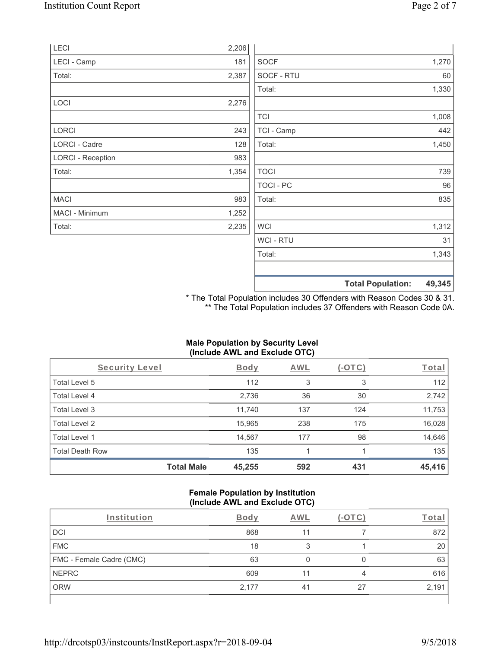|                          |       |                  | <b>Total Population:</b> | 49,345 |
|--------------------------|-------|------------------|--------------------------|--------|
|                          |       |                  |                          |        |
|                          |       | Total:           |                          | 1,343  |
|                          |       | <b>WCI-RTU</b>   |                          | 31     |
| Total:                   | 2,235 | <b>WCI</b>       |                          | 1,312  |
| MACI - Minimum           | 1,252 |                  |                          |        |
| <b>MACI</b>              | 983   | Total:           |                          | 835    |
|                          |       | <b>TOCI - PC</b> |                          | 96     |
| Total:                   | 1,354 | <b>TOCI</b>      |                          | 739    |
| <b>LORCI - Reception</b> | 983   |                  |                          |        |
| LORCI - Cadre            | 128   | Total:           |                          | 1,450  |
| <b>LORCI</b>             | 243   | TCI - Camp       |                          | 442    |
|                          |       | <b>TCI</b>       |                          | 1,008  |
| LOCI                     | 2,276 |                  |                          |        |
|                          |       | Total:           |                          | 1,330  |
| Total:                   | 2,387 | SOCF - RTU       |                          | 60     |
| LECI - Camp              | 181   | <b>SOCF</b>      |                          | 1,270  |
| LECI                     | 2,206 |                  |                          |        |

\* The Total Population includes 30 Offenders with Reason Codes 30 & 31. \*\* The Total Population includes 37 Offenders with Reason Code 0A.

### **Male Population by Security Level (Include AWL and Exclude OTC)**

| Security Level         |                   | <b>Body</b> | AWL | (-OTC) | Total  |
|------------------------|-------------------|-------------|-----|--------|--------|
| Total Level 5          |                   | 112         | 3   | 3      | 112    |
| Total Level 4          |                   | 2,736       | 36  | 30     | 2,742  |
| Total Level 3          |                   | 11,740      | 137 | 124    | 11,753 |
| Total Level 2          |                   | 15,965      | 238 | 175    | 16,028 |
| Total Level 1          |                   | 14,567      | 177 | 98     | 14,646 |
| <b>Total Death Row</b> |                   | 135         |     |        | 135    |
|                        | <b>Total Male</b> | 45,255      | 592 | 431    | 45,416 |

#### **Female Population by Institution (Include AWL and Exclude OTC)**

| Institution              | Bodv  | AWL |    | Tota  |
|--------------------------|-------|-----|----|-------|
| <b>DCI</b>               | 868   | 11  |    | 872   |
| <b>FMC</b>               | 18    |     |    | 20    |
| FMC - Female Cadre (CMC) | 63    |     |    | 63    |
| <b>NEPRC</b>             | 609   |     | 4  | 616   |
| <b>ORW</b>               | 2,177 | 41  | 27 | 2,191 |
|                          |       |     |    |       |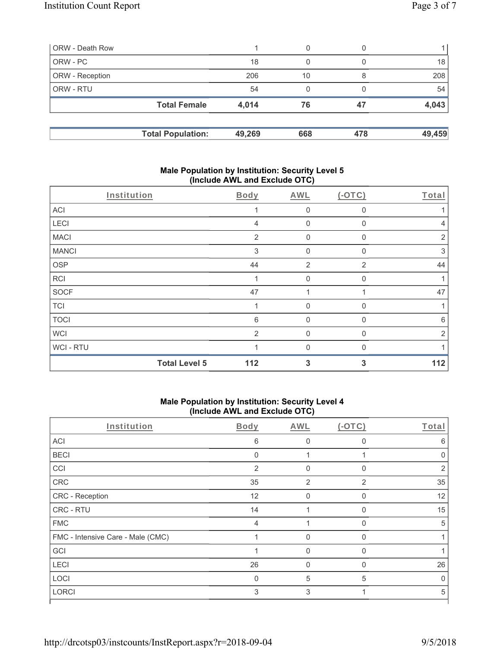| ORW - Death Row        |                          |        | 0   |     |        |
|------------------------|--------------------------|--------|-----|-----|--------|
| ORW - PC               |                          | 18     | 0   |     | 18     |
| <b>ORW</b> - Reception |                          | 206    | 10  |     | 208    |
| <b>ORW - RTU</b>       |                          | 54     | 0   |     | 54     |
|                        | <b>Total Female</b>      | 4,014  | 76  | 47  | 4,043  |
|                        |                          |        |     |     |        |
|                        | <b>Total Population:</b> | 49,269 | 668 | 478 | 49,459 |

#### **Male Population by Institution: Security Level 5 (Include AWL and Exclude OTC)**

| Institution  |                      | Body           | AWL              | $(-OTC)$       | Total          |
|--------------|----------------------|----------------|------------------|----------------|----------------|
| ACI          |                      |                | $\boldsymbol{0}$ | 0              |                |
| LECI         |                      | $\overline{4}$ | $\mathbf 0$      | 0              | 4              |
| <b>MACI</b>  |                      | 2              | $\boldsymbol{0}$ | $\Omega$       | $\overline{2}$ |
| <b>MANCI</b> |                      | 3              | $\mathbf 0$      | 0              | $\mathfrak{Z}$ |
| <b>OSP</b>   |                      | 44             | $\overline{2}$   | $\overline{2}$ | 44             |
| RCI          |                      |                | $\mathbf{0}$     | 0              |                |
| <b>SOCF</b>  |                      | 47             | 1                |                | 47             |
| <b>TCI</b>   |                      |                | $\mathbf{0}$     | $\Omega$       | 1              |
| <b>TOCI</b>  |                      | 6              | $\mathbf 0$      | $\mathbf{0}$   | 6              |
| <b>WCI</b>   |                      | 2              | $\mathbf{0}$     | 0              | $\overline{2}$ |
| WCI - RTU    |                      |                | $\Omega$         | U              |                |
|              | <b>Total Level 5</b> | 112            | 3                | 3              | 112            |

# **Male Population by Institution: Security Level 4 (Include AWL and Exclude OTC)**

| Institution                       | Body         | AWL      | $(-OTC)$     | Total |
|-----------------------------------|--------------|----------|--------------|-------|
| ACI                               | 6            | 0        | $\Omega$     | 6     |
| <b>BECI</b>                       | $\mathbf{0}$ |          |              |       |
| CCI                               | 2            | 0        | $\Omega$     | 2     |
| CRC                               | 35           | 2        | 2            | 35    |
| CRC - Reception                   | 12           | 0        | $\Omega$     | 12    |
| CRC - RTU                         | 14           |          | 0            | 15    |
| <b>FMC</b>                        | 4            |          | $\Omega$     | 5     |
| FMC - Intensive Care - Male (CMC) |              | $\Omega$ | $\mathbf{0}$ |       |
| GCI                               |              | 0        | $\Omega$     |       |
| <b>LECI</b>                       | 26           | 0        | 0            | 26    |
| LOCI                              | $\Omega$     | 5        | 5            | U     |
| LORCI                             | 3            | 3        |              | 5     |
|                                   |              |          |              |       |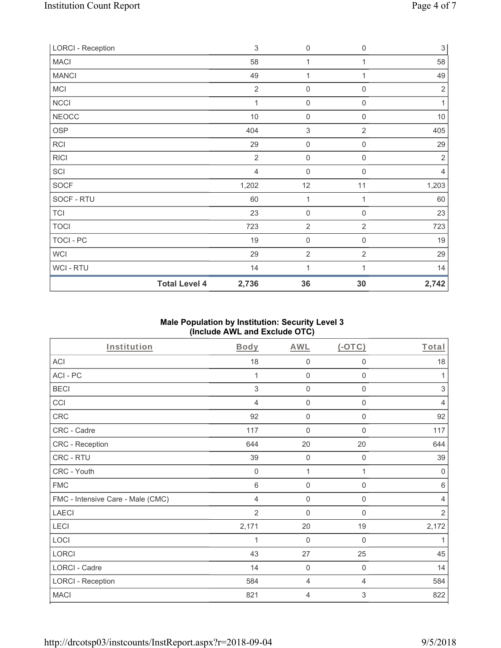| <b>Total Level 4</b>     | 2,736          | 36                  | 30                  | 2,742          |
|--------------------------|----------------|---------------------|---------------------|----------------|
| WCI - RTU                | 14             | 1                   |                     | 14             |
| WCI                      | 29             | $\overline{2}$      | $\overline{2}$      | 29             |
| TOCI - PC                | 19             | $\mathbf 0$         | $\mathsf{O}\xspace$ | $19$           |
| <b>TOCI</b>              | 723            | $\overline{2}$      | $\overline{2}$      | 723            |
| <b>TCI</b>               | 23             | $\mathbf 0$         | $\mathsf{O}\xspace$ | 23             |
| SOCF - RTU               | 60             | $\mathbf{1}$        | 1                   | 60             |
| SOCF                     | 1,202          | 12                  | 11                  | 1,203          |
| SCI                      | $\overline{4}$ | $\mathsf{O}\xspace$ | $\mathbf 0$         | 4              |
| <b>RICI</b>              | $\overline{2}$ | 0                   | 0                   | $\sqrt{2}$     |
| RCI                      | 29             | $\boldsymbol{0}$    | 0                   | 29             |
| <b>OSP</b>               | 404            | $\,$ 3 $\,$         | $\overline{2}$      | 405            |
| <b>NEOCC</b>             | 10             | $\mathbf 0$         | $\mathsf{O}\xspace$ | $10$           |
| <b>NCCI</b>              | 1              | $\mathbf 0$         | 0                   | 1              |
| MCI                      | $\overline{2}$ | $\mathbf 0$         | $\mathsf{O}\xspace$ | $\overline{2}$ |
| <b>MANCI</b>             | 49             | 1                   |                     | 49             |
| <b>MACI</b>              | 58             | $\mathbf{1}$        | 1                   | 58             |
| <b>LORCI - Reception</b> | 3              | $\mathsf{O}\xspace$ | 0                   | 3              |

## **Male Population by Institution: Security Level 3 (Include AWL and Exclude OTC)**

| Institution                       | Body        | <b>AWL</b>     | (OTC)               | Total          |
|-----------------------------------|-------------|----------------|---------------------|----------------|
| <b>ACI</b>                        | 18          | $\mathbf 0$    | $\mathbf 0$         | 18             |
| ACI-PC                            | 1           | $\mathbf 0$    | $\mathbf 0$         | 1              |
| <b>BECI</b>                       | 3           | $\mathbf 0$    | $\mathbf 0$         | $\sqrt{3}$     |
| CCI                               | 4           | $\mathbf 0$    | $\mathbf 0$         | $\overline{4}$ |
| <b>CRC</b>                        | 92          | $\mathbf 0$    | $\boldsymbol{0}$    | 92             |
| CRC - Cadre                       | 117         | $\mathbf 0$    | $\mathbf 0$         | 117            |
| CRC - Reception                   | 644         | 20             | 20                  | 644            |
| CRC - RTU                         | 39          | $\mathbf 0$    | $\mathsf{O}\xspace$ | 39             |
| CRC - Youth                       | $\mathbf 0$ | 1              | 1                   | $\mathbf 0$    |
| <b>FMC</b>                        | 6           | $\mathbf 0$    | $\mathbf 0$         | 6              |
| FMC - Intensive Care - Male (CMC) | 4           | $\mathbf 0$    | $\boldsymbol{0}$    | $\overline{4}$ |
| <b>LAECI</b>                      | 2           | $\mathbf 0$    | $\boldsymbol{0}$    | $\overline{2}$ |
| LECI                              | 2,171       | 20             | $19$                | 2,172          |
| LOCI                              |             | $\mathbf 0$    | 0                   | 1              |
| LORCI                             | 43          | 27             | 25                  | 45             |
| LORCI - Cadre                     | 14          | $\mathbf 0$    | $\mathbf 0$         | 14             |
| <b>LORCI - Reception</b>          | 584         | 4              | $\overline{4}$      | 584            |
| <b>MACI</b>                       | 821         | $\overline{4}$ | 3                   | 822            |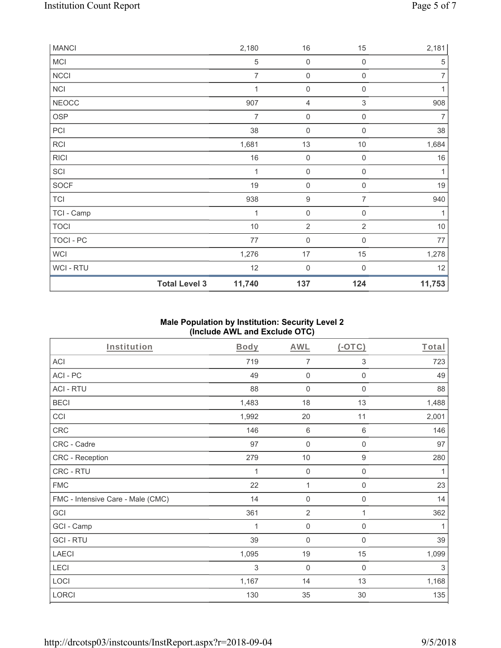| <b>MANCI</b> |                      | 2,180          | 16                  | 15                        | 2,181          |
|--------------|----------------------|----------------|---------------------|---------------------------|----------------|
| MCI          |                      | $\,$ 5 $\,$    | $\mathbf 0$         | 0                         | 5              |
| NCCI         |                      | $\overline{7}$ | $\mathsf{O}\xspace$ | 0                         | $\overline{7}$ |
| <b>NCI</b>   |                      | 1              | $\boldsymbol{0}$    | 0                         | $\mathbf{1}$   |
| <b>NEOCC</b> |                      | 907            | 4                   | $\ensuremath{\mathsf{3}}$ | 908            |
| OSP          |                      | 7              | $\boldsymbol{0}$    | 0                         | 7              |
| PCI          |                      | 38             | $\boldsymbol{0}$    | $\boldsymbol{0}$          | 38             |
| RCI          |                      | 1,681          | 13                  | 10                        | 1,684          |
| <b>RICI</b>  |                      | $16\,$         | $\mathsf{O}\xspace$ | $\mathbf 0$               | $16\,$         |
| SCI          |                      | 1              | $\mathsf{O}\xspace$ | 0                         | 1              |
| SOCF         |                      | 19             | $\mathsf{O}\xspace$ | $\mathbf 0$               | 19             |
| <b>TCI</b>   |                      | 938            | $\boldsymbol{9}$    | $\overline{7}$            | 940            |
| TCI - Camp   |                      | 1              | $\mathsf{O}\xspace$ | 0                         | 1              |
| <b>TOCI</b>  |                      | $10$           | $\sqrt{2}$          | $\overline{2}$            | $10$           |
| TOCI - PC    |                      | $77$           | $\mathbf 0$         | 0                         | $77$           |
| <b>WCI</b>   |                      | 1,276          | 17                  | 15                        | 1,278          |
| WCI-RTU      |                      | 12             | $\mathbf 0$         | 0                         | 12             |
|              | <b>Total Level 3</b> | 11,740         | 137                 | 124                       | 11,753         |

## **Male Population by Institution: Security Level 2 (Include AWL and Exclude OTC)**

| <b>Institution</b>                | <b>Body</b> | <b>AWL</b>          | (OTC)               | Total |
|-----------------------------------|-------------|---------------------|---------------------|-------|
| ACI                               | 719         | $\overline{7}$      | 3                   | 723   |
| ACI-PC                            | 49          | $\mathbf 0$         | $\boldsymbol{0}$    | 49    |
| <b>ACI - RTU</b>                  | 88          | $\mathbf 0$         | $\mathbf 0$         | 88    |
| <b>BECI</b>                       | 1,483       | 18                  | 13                  | 1,488 |
| CCI                               | 1,992       | 20                  | 11                  | 2,001 |
| CRC                               | 146         | $\,6\,$             | $\,6\,$             | 146   |
| CRC - Cadre                       | 97          | $\mathsf{O}\xspace$ | $\mathsf{O}\xspace$ | 97    |
| CRC - Reception                   | 279         | $10$                | $\boldsymbol{9}$    | 280   |
| CRC - RTU                         | 1           | $\mathbf 0$         | $\mathsf{O}\xspace$ | 1     |
| <b>FMC</b>                        | 22          | 1                   | $\mathsf{O}\xspace$ | 23    |
| FMC - Intensive Care - Male (CMC) | 14          | $\mathsf{O}\xspace$ | $\boldsymbol{0}$    | 14    |
| GCI                               | 361         | $\overline{2}$      | 1                   | 362   |
| GCI - Camp                        | 1           | $\mathsf{O}\xspace$ | $\boldsymbol{0}$    | 1     |
| <b>GCI-RTU</b>                    | 39          | $\mathbf 0$         | 0                   | 39    |
| <b>LAECI</b>                      | 1,095       | 19                  | 15                  | 1,099 |
| LECI                              | 3           | $\mathbf 0$         | 0                   | 3     |
| LOCI                              | 1,167       | 14                  | 13                  | 1,168 |
| <b>LORCI</b>                      | 130         | 35                  | 30                  | 135   |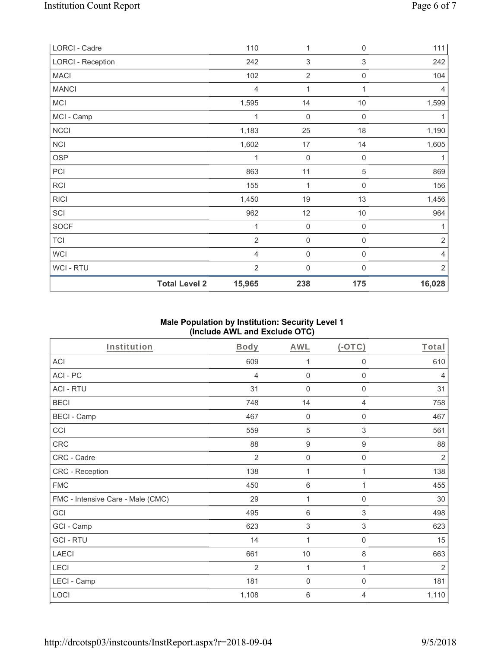| LORCI - Cadre            |                      | 110            | $\mathbf{1}$        | 0                         | 111            |
|--------------------------|----------------------|----------------|---------------------|---------------------------|----------------|
| <b>LORCI - Reception</b> |                      | 242            | $\sqrt{3}$          | $\ensuremath{\mathsf{3}}$ | 242            |
| <b>MACI</b>              |                      | 102            | $\sqrt{2}$          | 0                         | 104            |
| <b>MANCI</b>             |                      | $\overline{4}$ | 1                   | 1                         | $\overline{4}$ |
| <b>MCI</b>               |                      | 1,595          | 14                  | $10$                      | 1,599          |
| MCI - Camp               |                      | 1              | $\mathsf{O}\xspace$ | $\mathsf{O}\xspace$       | 1              |
| <b>NCCI</b>              |                      | 1,183          | 25                  | 18                        | 1,190          |
| <b>NCI</b>               |                      | 1,602          | 17                  | 14                        | 1,605          |
| <b>OSP</b>               |                      | 1              | $\mathbf 0$         | $\,0\,$                   | 1              |
| PCI                      |                      | 863            | 11                  | $\mathbf 5$               | 869            |
| RCI                      |                      | 155            | $\mathbf{1}$        | 0                         | 156            |
| <b>RICI</b>              |                      | 1,450          | 19                  | 13                        | 1,456          |
| SCI                      |                      | 962            | 12                  | 10                        | 964            |
| <b>SOCF</b>              |                      | 1              | $\mathsf{O}\xspace$ | 0                         |                |
| <b>TCI</b>               |                      | $\overline{2}$ | $\mathsf{O}\xspace$ | 0                         | $\sqrt{2}$     |
| <b>WCI</b>               |                      | $\overline{4}$ | $\mathsf{O}\xspace$ | 0                         | 4              |
| WCI - RTU                |                      | $\overline{2}$ | $\mathsf{O}\xspace$ | 0                         | $\sqrt{2}$     |
|                          | <b>Total Level 2</b> | 15,965         | 238                 | 175                       | 16,028         |

## **Male Population by Institution: Security Level 1 (Include AWL and Exclude OTC)**

| <b>Institution</b>                | <b>Body</b>    | <b>AWL</b>                | (OTC)                     | Total          |
|-----------------------------------|----------------|---------------------------|---------------------------|----------------|
| ACI                               | 609            | 1                         | $\mathbf 0$               | 610            |
| ACI-PC                            | 4              | $\mathbf 0$               | $\mathbf 0$               | $\overline{4}$ |
| <b>ACI - RTU</b>                  | 31             | $\mathbf 0$               | $\boldsymbol{0}$          | 31             |
| <b>BECI</b>                       | 748            | 14                        | 4                         | 758            |
| <b>BECI - Camp</b>                | 467            | $\mathbf 0$               | $\boldsymbol{0}$          | 467            |
| CCI                               | 559            | 5                         | $\ensuremath{\mathsf{3}}$ | 561            |
| CRC                               | 88             | $\boldsymbol{9}$          | $\boldsymbol{9}$          | 88             |
| CRC - Cadre                       | $\overline{2}$ | $\mathbf 0$               | $\mathbf 0$               | $\overline{2}$ |
| CRC - Reception                   | 138            | 1                         | 1                         | 138            |
| <b>FMC</b>                        | 450            | $\,6\,$                   | 1                         | 455            |
| FMC - Intensive Care - Male (CMC) | 29             | 1                         | $\mathsf{O}\xspace$       | 30             |
| GCI                               | 495            | $\,6\,$                   | $\sqrt{3}$                | 498            |
| GCI - Camp                        | 623            | $\ensuremath{\mathsf{3}}$ | $\ensuremath{\mathsf{3}}$ | 623            |
| <b>GCI-RTU</b>                    | 14             | 1                         | $\boldsymbol{0}$          | 15             |
| <b>LAECI</b>                      | 661            | $10$                      | $\,8\,$                   | 663            |
| LECI                              | 2              | 1                         | 1                         | $\overline{2}$ |
| LECI - Camp                       | 181            | $\mathbf 0$               | $\mathbf 0$               | 181            |
| LOCI                              | 1,108          | $\,$ 6 $\,$               | 4                         | 1,110          |